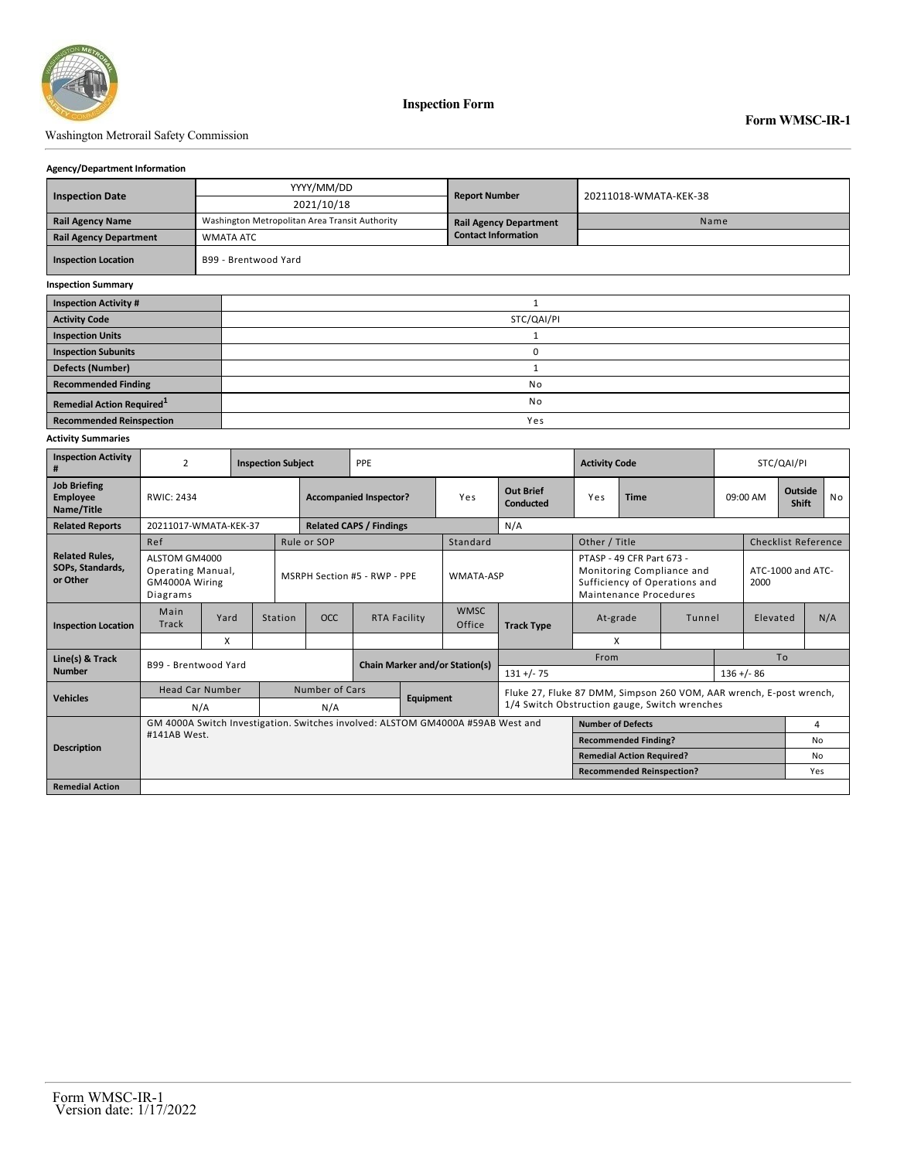

**Inspection Form**

# Washington Metrorail Safety Commission

### **Agency/Department Information**

| <b>Inspection Date</b>                |  | YYYY/MM/DD                                     | <b>Report Number</b>          | 20211018-WMATA-KEK-38 |  |  |  |  |  |
|---------------------------------------|--|------------------------------------------------|-------------------------------|-----------------------|--|--|--|--|--|
|                                       |  | 2021/10/18                                     |                               |                       |  |  |  |  |  |
| <b>Rail Agency Name</b>               |  | Washington Metropolitan Area Transit Authority | <b>Rail Agency Department</b> | Name                  |  |  |  |  |  |
| <b>Rail Agency Department</b>         |  | <b>WMATA ATC</b>                               | <b>Contact Information</b>    |                       |  |  |  |  |  |
| <b>Inspection Location</b>            |  | B99 - Brentwood Yard                           |                               |                       |  |  |  |  |  |
| <b>Inspection Summary</b>             |  |                                                |                               |                       |  |  |  |  |  |
| <b>Inspection Activity #</b>          |  | 1                                              |                               |                       |  |  |  |  |  |
| <b>Activity Code</b>                  |  | STC/QAI/PI                                     |                               |                       |  |  |  |  |  |
| <b>Inspection Units</b>               |  |                                                |                               |                       |  |  |  |  |  |
| <b>Inspection Subunits</b>            |  | 0                                              |                               |                       |  |  |  |  |  |
| <b>Defects (Number)</b>               |  |                                                |                               |                       |  |  |  |  |  |
| <b>Recommended Finding</b>            |  | No                                             |                               |                       |  |  |  |  |  |
| Remedial Action Required <sup>1</sup> |  | No                                             |                               |                       |  |  |  |  |  |
| <b>Recommended Reinspection</b>       |  | Yes                                            |                               |                       |  |  |  |  |  |

#### **Activity Summaries**

| <b>Inspection Activity</b><br>#                       | $\mathfrak z$                                                                   |                      |  | <b>Inspection Subject</b>    |                                       | PPE                                   |           |                       | <b>Activity Code</b>          |                                                                                                                      |                                  | STC/QAI/PI |  |                            |                |  |  |  |
|-------------------------------------------------------|---------------------------------------------------------------------------------|----------------------|--|------------------------------|---------------------------------------|---------------------------------------|-----------|-----------------------|-------------------------------|----------------------------------------------------------------------------------------------------------------------|----------------------------------|------------|--|----------------------------|----------------|--|--|--|
| <b>Job Briefing</b><br>Employee<br>Name/Title         | RWIC: 2434                                                                      |                      |  |                              | <b>Accompanied Inspector?</b>         |                                       |           | Yes                   | <b>Out Brief</b><br>Conducted | <b>Time</b><br>Yes                                                                                                   |                                  | 09:00 AM   |  | <b>Outside</b><br>Shift    | <b>No</b>      |  |  |  |
| <b>Related Reports</b>                                | 20211017-WMATA-KEK-37                                                           |                      |  |                              | N/A<br><b>Related CAPS / Findings</b> |                                       |           |                       |                               |                                                                                                                      |                                  |            |  |                            |                |  |  |  |
|                                                       | Ref                                                                             |                      |  |                              | Rule or SOP                           |                                       |           | Standard              |                               | Other / Title                                                                                                        |                                  |            |  | <b>Checklist Reference</b> |                |  |  |  |
| <b>Related Rules,</b><br>SOPs, Standards,<br>or Other | ALSTOM GM4000<br>Operating Manual,<br>GM4000A Wiring<br>Diagrams                |                      |  | MSRPH Section #5 - RWP - PPE |                                       |                                       |           | WMATA-ASP             |                               | PTASP - 49 CFR Part 673 -<br>Monitoring Compliance and<br>Sufficiency of Operations and<br>Maintenance Procedures    |                                  |            |  | ATC-1000 and ATC-<br>2000  |                |  |  |  |
| <b>Inspection Location</b>                            | Main<br><b>Track</b>                                                            | Yard                 |  | Station                      | OCC.                                  | RTA Facility                          |           | <b>WMSC</b><br>Office | <b>Track Type</b>             | At-grade<br>Tunnel                                                                                                   |                                  | Elevated   |  |                            | N/A            |  |  |  |
|                                                       |                                                                                 | X                    |  |                              |                                       |                                       |           |                       |                               | X                                                                                                                    |                                  |            |  |                            |                |  |  |  |
| Line(s) & Track                                       |                                                                                 | B99 - Brentwood Yard |  |                              |                                       | <b>Chain Marker and/or Station(s)</b> |           |                       |                               |                                                                                                                      | From                             |            |  |                            | T <sub>o</sub> |  |  |  |
| <b>Number</b>                                         |                                                                                 |                      |  |                              |                                       |                                       |           | $131 +/- 75$          |                               |                                                                                                                      |                                  |            |  | $136 + (-86)$              |                |  |  |  |
| <b>Vehicles</b>                                       | <b>Head Car Number</b>                                                          |                      |  |                              | <b>Number of Cars</b>                 |                                       | Equipment |                       |                               | Fluke 27, Fluke 87 DMM, Simpson 260 VOM, AAR wrench, E-post wrench,<br>1/4 Switch Obstruction gauge, Switch wrenches |                                  |            |  |                            |                |  |  |  |
|                                                       | N/A                                                                             |                      |  |                              | N/A                                   |                                       |           |                       |                               |                                                                                                                      |                                  |            |  |                            |                |  |  |  |
|                                                       | GM 4000A Switch Investigation. Switches involved: ALSTOM GM4000A #59AB West and |                      |  | <b>Number of Defects</b>     |                                       |                                       |           |                       |                               | 4                                                                                                                    |                                  |            |  |                            |                |  |  |  |
| <b>Description</b>                                    | #141AB West.                                                                    |                      |  | <b>Recommended Finding?</b>  |                                       |                                       |           |                       |                               | No.                                                                                                                  |                                  |            |  |                            |                |  |  |  |
|                                                       |                                                                                 |                      |  |                              |                                       |                                       |           |                       |                               |                                                                                                                      | <b>Remedial Action Required?</b> |            |  |                            | No             |  |  |  |
|                                                       |                                                                                 |                      |  |                              |                                       |                                       |           |                       |                               | <b>Recommended Reinspection?</b>                                                                                     |                                  |            |  | Yes                        |                |  |  |  |
| <b>Remedial Action</b>                                |                                                                                 |                      |  |                              |                                       |                                       |           |                       |                               |                                                                                                                      |                                  |            |  |                            |                |  |  |  |